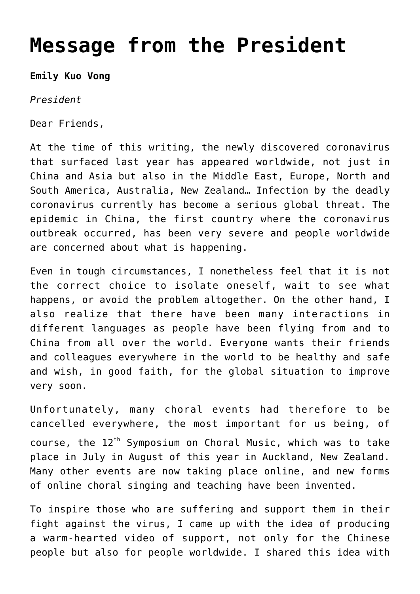## **[Message from the President](http://icb.ifcm.net/message-from-the-president-9/)**

**Emily Kuo Vong**

*President*

Dear Friends,

At the time of this writing, the newly discovered coronavirus that surfaced last year has appeared worldwide, not just in China and Asia but also in the Middle East, Europe, North and South America, Australia, New Zealand… Infection by the deadly coronavirus currently has become a serious global threat. The epidemic in China, the first country where the coronavirus outbreak occurred, has been very severe and people worldwide are concerned about what is happening.

Even in tough circumstances, I nonetheless feel that it is not the correct choice to isolate oneself, wait to see what happens, or avoid the problem altogether. On the other hand, I also realize that there have been many interactions in different languages as people have been flying from and to China from all over the world. Everyone wants their friends and colleagues everywhere in the world to be healthy and safe and wish, in good faith, for the global situation to improve very soon.

Unfortunately, many choral events had therefore to be cancelled everywhere, the most important for us being, of course, the  $12<sup>th</sup>$  Symposium on Choral Music, which was to take place in July in August of this year in Auckland, New Zealand. Many other events are now taking place online, and new forms of online choral singing and teaching have been invented.

To inspire those who are suffering and support them in their fight against the virus, I came up with the idea of producing a warm-hearted video of support, not only for the Chinese people but also for people worldwide. I shared this idea with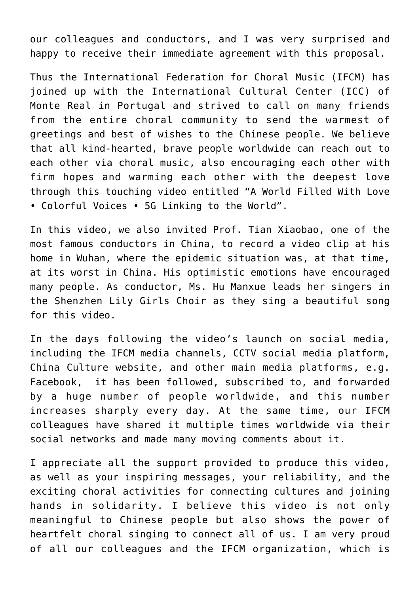our colleagues and conductors, and I was very surprised and happy to receive their immediate agreement with this proposal.

Thus the International Federation for Choral Music (IFCM) has joined up with the International Cultural Center (ICC) of Monte Real in Portugal and strived to call on many friends from the entire choral community to send the warmest of greetings and best of wishes to the Chinese people. We believe that all kind-hearted, brave people worldwide can reach out to each other via choral music, also encouraging each other with firm hopes and warming each other with the deepest love through this touching video entitled "A World Filled With Love • Colorful Voices • 5G Linking to the World".

In this video, we also invited Prof. Tian Xiaobao, one of the most famous conductors in China, to record a video clip at his home in Wuhan, where the epidemic situation was, at that time, at its worst in China. His optimistic emotions have encouraged many people. As conductor, Ms. Hu Manxue leads her singers in the Shenzhen Lily Girls Choir as they sing a beautiful song for this video.

In the days following the video's launch on social media, including the IFCM media channels, CCTV social media platform, China Culture website, and other main media platforms, e.g. Facebook, it has been followed, subscribed to, and forwarded by a huge number of people worldwide, and this number increases sharply every day. At the same time, our IFCM colleagues have shared it multiple times worldwide via their social networks and made many moving comments about it.

I appreciate all the support provided to produce this video, as well as your inspiring messages, your reliability, and the exciting choral activities for connecting cultures and joining hands in solidarity. I believe this video is not only meaningful to Chinese people but also shows the power of heartfelt choral singing to connect all of us. I am very proud of all our colleagues and the IFCM organization, which is